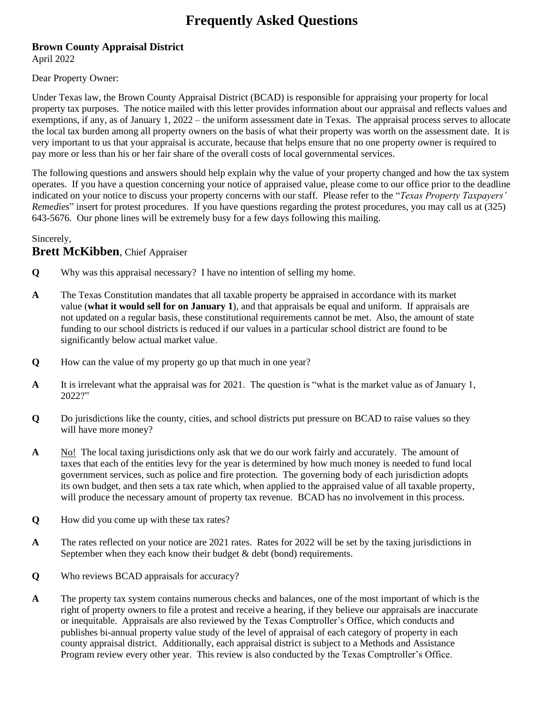## **Frequently Asked Questions**

## **Brown County Appraisal District** April 2022

Dear Property Owner:

Under Texas law, the Brown County Appraisal District (BCAD) is responsible for appraising your property for local property tax purposes. The notice mailed with this letter provides information about our appraisal and reflects values and exemptions, if any, as of January 1, 2022 – the uniform assessment date in Texas. The appraisal process serves to allocate the local tax burden among all property owners on the basis of what their property was worth on the assessment date. It is very important to us that your appraisal is accurate, because that helps ensure that no one property owner is required to pay more or less than his or her fair share of the overall costs of local governmental services.

The following questions and answers should help explain why the value of your property changed and how the tax system operates. If you have a question concerning your notice of appraised value, please come to our office prior to the deadline indicated on your notice to discuss your property concerns with our staff. Please refer to the "*Texas Property Taxpayers' Remedies*" insert for protest procedures. If you have questions regarding the protest procedures, you may call us at (325) 643-5676. Our phone lines will be extremely busy for a few days following this mailing.

## Sincerely,

## **Brett McKibben**, Chief Appraiser

- **Q** Why was this appraisal necessary? I have no intention of selling my home.
- **A** The Texas Constitution mandates that all taxable property be appraised in accordance with its market value (**what it would sell for on January 1**), and that appraisals be equal and uniform. If appraisals are not updated on a regular basis, these constitutional requirements cannot be met. Also, the amount of state funding to our school districts is reduced if our values in a particular school district are found to be significantly below actual market value.
- **Q** How can the value of my property go up that much in one year?
- **A** It is irrelevant what the appraisal was for 2021. The question is "what is the market value as of January 1, 2022?"
- **Q** Do jurisdictions like the county, cities, and school districts put pressure on BCAD to raise values so they will have more money?
- **A** No! The local taxing jurisdictions only ask that we do our work fairly and accurately. The amount of taxes that each of the entities levy for the year is determined by how much money is needed to fund local government services, such as police and fire protection. The governing body of each jurisdiction adopts its own budget, and then sets a tax rate which, when applied to the appraised value of all taxable property, will produce the necessary amount of property tax revenue. BCAD has no involvement in this process.
- **Q** How did you come up with these tax rates?
- **A** The rates reflected on your notice are 2021 rates. Rates for 2022 will be set by the taxing jurisdictions in September when they each know their budget & debt (bond) requirements.
- **Q** Who reviews BCAD appraisals for accuracy?
- **A** The property tax system contains numerous checks and balances, one of the most important of which is the right of property owners to file a protest and receive a hearing, if they believe our appraisals are inaccurate or inequitable. Appraisals are also reviewed by the Texas Comptroller's Office, which conducts and publishes bi-annual property value study of the level of appraisal of each category of property in each county appraisal district. Additionally, each appraisal district is subject to a Methods and Assistance Program review every other year. This review is also conducted by the Texas Comptroller's Office.